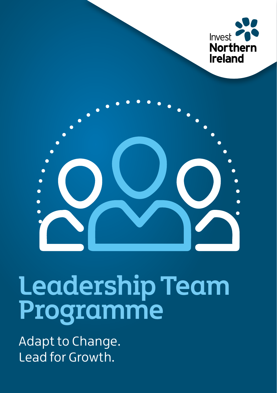



# Leadership Team Programme

Adapt to Change. Lead for Growth.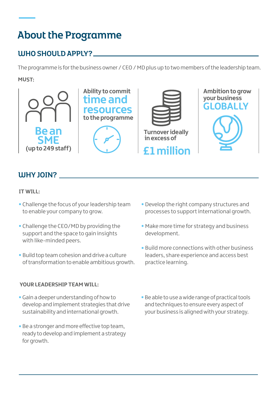# About the Programme

## WHO SHOULD APPLY?

The programme is for the business owner / CEO / MD plus up to two members of the leadership team.

#### **MUST:**



## WHY JOIN?

#### **IT WILL:**

- **•** Challenge the focus of your leadership team to enable your company to grow.
- **•** Challenge the CEO/MD by providing the support and the space to gain insights with like-minded peers.
- **•** Build top team cohesion and drive a culture of transformation to enable ambitious growth.

#### **YOUR LEADERSHIP TEAM WILL:**

- **•**Gain a deeper understanding of how to develop and implement strategies that drive sustainability and international growth.
- **•** Be a stronger and more effective top team, ready to develop and implement a strategy for growth.
- **•** Develop the right company structures and processes to support international growth.
- **•** Make more time for strategy and business development.
- **•** Build more connections with other business leaders, share experience and access best practice learning.
- **•** Be able to use a wide range of practical tools and techniques to ensure every aspect of your business is aligned with your strategy.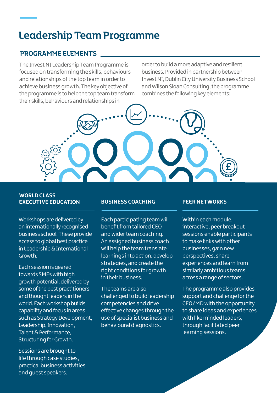## Leadership Team Programme

### PROGRAMME ELEMENTS

The Invest NI Leadership Team Programme is focused on transforming the skills, behaviours and relationships of the top team in order to achieve business growth. The key objective of the programme is to help the top team transform their skills, behaviours and relationships in

order to build a more adaptive and resilient business. Provided in partnership between Invest NI, Dublin City University Business School and Wilson Sloan Consulting, the programme combines the following key elements:



#### **WORLD CLASS EXECUTIVE EDUCATION**

Workshops are delivered by an internationally recognised business school. These provide access to global best practice in Leadership & International Growth.

Each session is geared towards SMEs with high growth potential, delivered by some of the best practitioners and thought leaders in the world. Each workshop builds capability and focus in areas such as Strategy Development, Leadership, Innovation, Talent & Performance, Structuring for Growth.

Sessions are brought to life through case studies, practical business activities and guest speakers.

#### **BUSINESS COACHING PEER NETWORKS**

Each participating team will benefit from tailored CEO and wider team coaching. An assigned business coach will help the team translate learnings into action, develop strategies, and create the right conditions for growth in their business.

The teams are also challenged to build leadership competencies and drive effective changes through the use of specialist business and behavioural diagnostics.

Within each module, interactive, peer breakout sessions enable participants to make links with other businesses, gain new perspectives, share experiences and learn from similarly ambitious teams across a range of sectors.

The programme also provides support and challenge for the CEO/MD with the opportunity to share ideas and experiences with like minded leaders. through facilitated peer learning sessions.